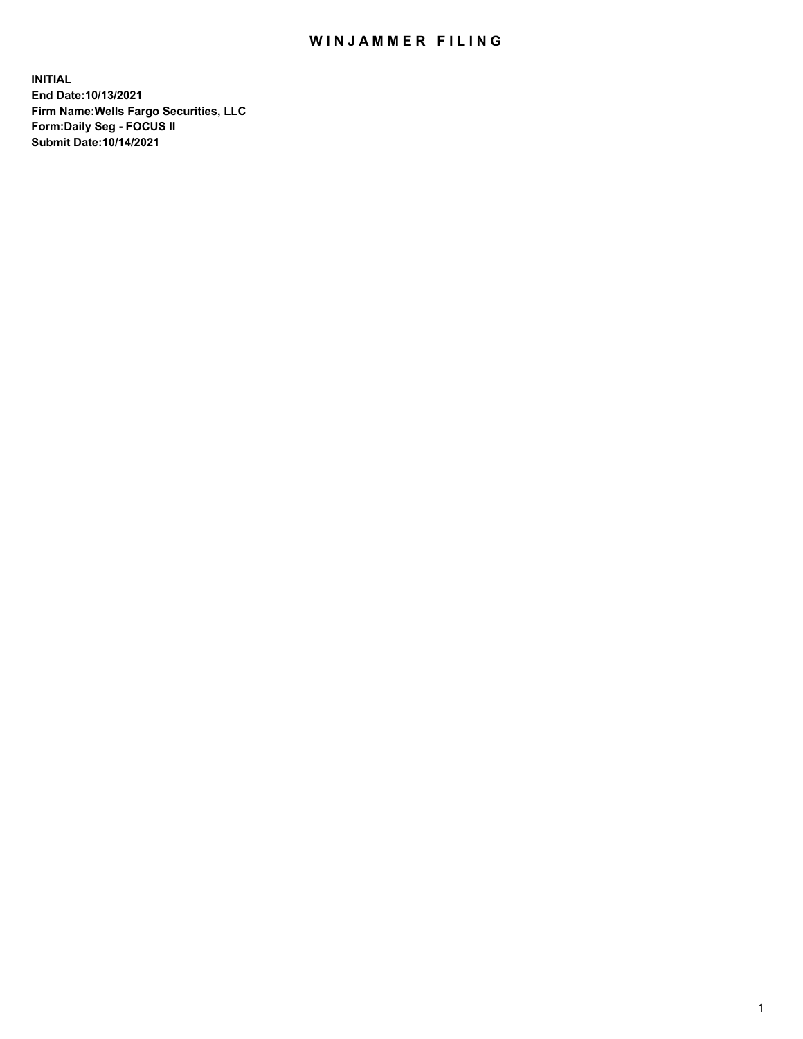## WIN JAMMER FILING

**INITIAL End Date:10/13/2021 Firm Name:Wells Fargo Securities, LLC Form:Daily Seg - FOCUS II Submit Date:10/14/2021**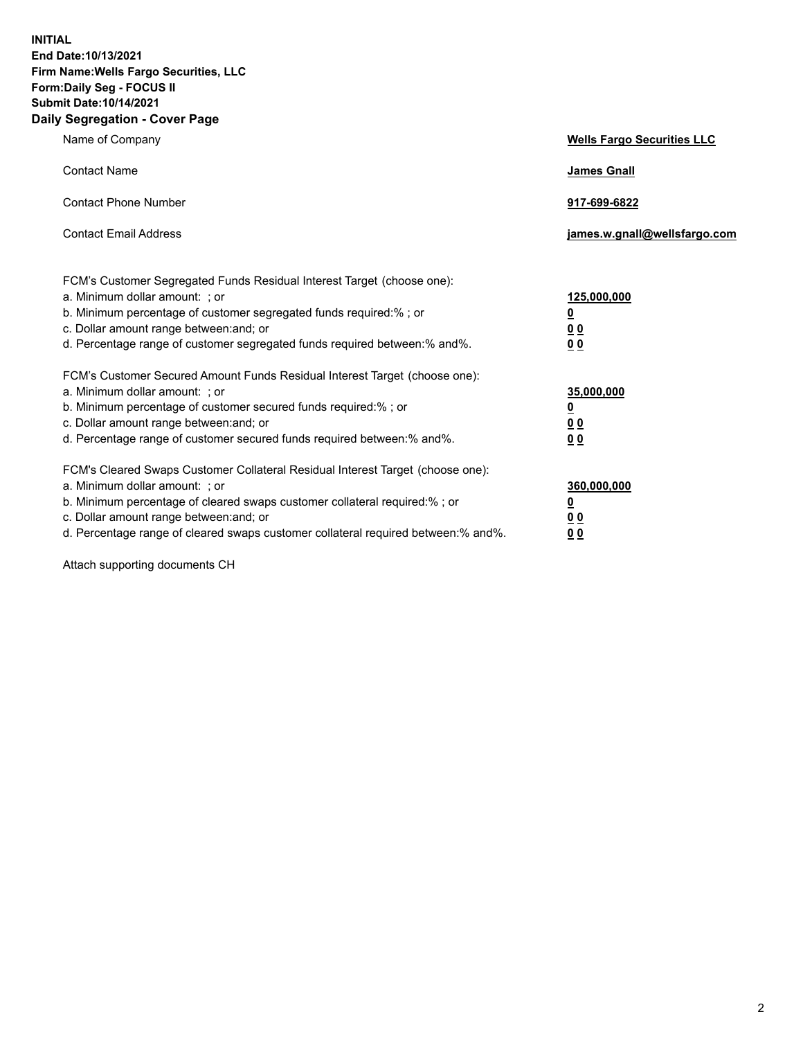**INITIAL End Date:10/13/2021 Firm Name:Wells Fargo Securities, LLC Form:Daily Seg - FOCUS II Submit Date:10/14/2021 Daily Segregation - Cover Page**

| Name of Company                                                                                                                                                                                                                                                                                                               | <b>Wells Fargo Securities LLC</b>                          |
|-------------------------------------------------------------------------------------------------------------------------------------------------------------------------------------------------------------------------------------------------------------------------------------------------------------------------------|------------------------------------------------------------|
| <b>Contact Name</b>                                                                                                                                                                                                                                                                                                           | <b>James Gnall</b>                                         |
| <b>Contact Phone Number</b>                                                                                                                                                                                                                                                                                                   | 917-699-6822                                               |
| <b>Contact Email Address</b>                                                                                                                                                                                                                                                                                                  | james.w.gnall@wellsfargo.com                               |
| FCM's Customer Segregated Funds Residual Interest Target (choose one):<br>a. Minimum dollar amount: ; or<br>b. Minimum percentage of customer segregated funds required:% ; or<br>c. Dollar amount range between: and; or<br>d. Percentage range of customer segregated funds required between:% and%.                        | 125,000,000<br><u>0</u><br>0 <sub>0</sub><br>00            |
| FCM's Customer Secured Amount Funds Residual Interest Target (choose one):<br>a. Minimum dollar amount: ; or<br>b. Minimum percentage of customer secured funds required:%; or<br>c. Dollar amount range between: and; or<br>d. Percentage range of customer secured funds required between: % and %.                         | 35,000,000<br><u>0</u><br>0 <sub>0</sub><br>0 <sub>0</sub> |
| FCM's Cleared Swaps Customer Collateral Residual Interest Target (choose one):<br>a. Minimum dollar amount: ; or<br>b. Minimum percentage of cleared swaps customer collateral required:%; or<br>c. Dollar amount range between: and; or<br>d. Percentage range of cleared swaps customer collateral required between:% and%. | 360,000,000<br><u>0</u><br>00<br>00                        |

Attach supporting documents CH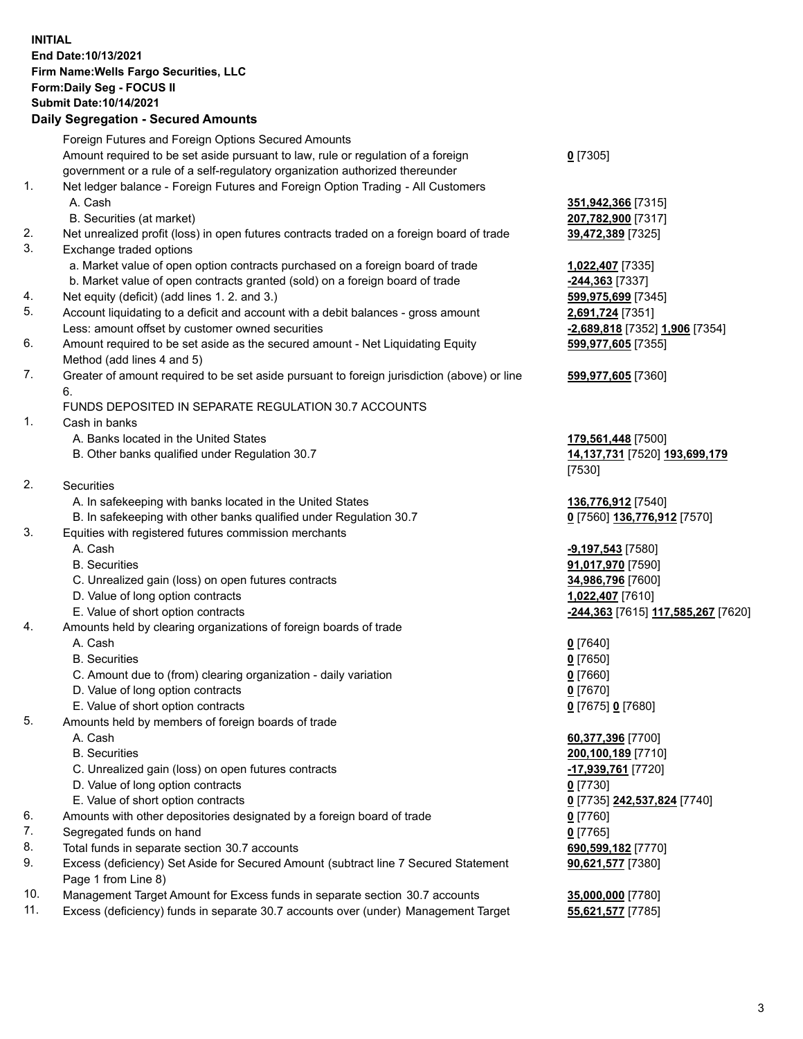## **INITIAL End Date:10/13/2021 Firm Name:Wells Fargo Securities, LLC Form:Daily Seg - FOCUS II Submit Date:10/14/2021**

## **Daily Segregation - Secured Amounts**

|     | Foreign Futures and Foreign Options Secured Amounts                                         |                                    |
|-----|---------------------------------------------------------------------------------------------|------------------------------------|
|     | Amount required to be set aside pursuant to law, rule or regulation of a foreign            | $0$ [7305]                         |
|     | government or a rule of a self-regulatory organization authorized thereunder                |                                    |
| 1.  | Net ledger balance - Foreign Futures and Foreign Option Trading - All Customers             |                                    |
|     | A. Cash                                                                                     | 351,942,366 [7315]                 |
|     | B. Securities (at market)                                                                   | 207,782,900 [7317]                 |
| 2.  | Net unrealized profit (loss) in open futures contracts traded on a foreign board of trade   | 39,472,389 [7325]                  |
| 3.  | Exchange traded options                                                                     |                                    |
|     | a. Market value of open option contracts purchased on a foreign board of trade              | 1,022,407 [7335]                   |
|     | b. Market value of open contracts granted (sold) on a foreign board of trade                | -244,363 [7337]                    |
| 4.  | Net equity (deficit) (add lines 1. 2. and 3.)                                               | 599,975,699 [7345]                 |
| 5.  | Account liquidating to a deficit and account with a debit balances - gross amount           | 2,691,724 [7351]                   |
|     | Less: amount offset by customer owned securities                                            | -2,689,818 [7352] 1,906 [7354]     |
| 6.  | Amount required to be set aside as the secured amount - Net Liquidating Equity              | 599,977,605 [7355]                 |
|     | Method (add lines 4 and 5)                                                                  |                                    |
| 7.  | Greater of amount required to be set aside pursuant to foreign jurisdiction (above) or line | 599,977,605 [7360]                 |
|     | 6.                                                                                          |                                    |
|     | FUNDS DEPOSITED IN SEPARATE REGULATION 30.7 ACCOUNTS                                        |                                    |
| 1.  | Cash in banks                                                                               |                                    |
|     | A. Banks located in the United States                                                       | 179,561,448 [7500]                 |
|     | B. Other banks qualified under Regulation 30.7                                              | 14,137,731 [7520] 193,699,179      |
|     |                                                                                             | [7530]                             |
| 2.  | <b>Securities</b>                                                                           |                                    |
|     | A. In safekeeping with banks located in the United States                                   | 136,776,912 [7540]                 |
|     | B. In safekeeping with other banks qualified under Regulation 30.7                          | 0 [7560] 136,776,912 [7570]        |
| 3.  | Equities with registered futures commission merchants                                       |                                    |
|     | A. Cash                                                                                     | <b>-9,197,543</b> [7580]           |
|     | <b>B.</b> Securities                                                                        | 91,017,970 [7590]                  |
|     | C. Unrealized gain (loss) on open futures contracts                                         | 34,986,796 [7600]                  |
|     | D. Value of long option contracts                                                           | 1,022,407 [7610]                   |
|     | E. Value of short option contracts                                                          | -244,363 [7615] 117,585,267 [7620] |
| 4.  | Amounts held by clearing organizations of foreign boards of trade                           |                                    |
|     | A. Cash                                                                                     | $0$ [7640]                         |
|     | <b>B.</b> Securities                                                                        | $0$ [7650]                         |
|     | C. Amount due to (from) clearing organization - daily variation                             | $0$ [7660]                         |
|     | D. Value of long option contracts                                                           | $0$ [7670]                         |
|     | E. Value of short option contracts                                                          | 0 [7675] 0 [7680]                  |
| 5.  | Amounts held by members of foreign boards of trade                                          |                                    |
|     | A. Cash                                                                                     | 60,377,396 [7700]                  |
|     | <b>B.</b> Securities                                                                        | 200,100,189 [7710]                 |
|     | C. Unrealized gain (loss) on open futures contracts                                         | -17,939,761 [7720]                 |
|     | D. Value of long option contracts                                                           | $0$ [7730]                         |
|     | E. Value of short option contracts                                                          | 0 [7735] 242,537,824 [7740]        |
| 6.  | Amounts with other depositories designated by a foreign board of trade                      | $0$ [7760]                         |
| 7.  | Segregated funds on hand                                                                    | $0$ [7765]                         |
| 8.  | Total funds in separate section 30.7 accounts                                               | 690,599,182 [7770]                 |
| 9.  | Excess (deficiency) Set Aside for Secured Amount (subtract line 7 Secured Statement         | 90,621,577 [7380]                  |
|     | Page 1 from Line 8)                                                                         |                                    |
| 10. | Management Target Amount for Excess funds in separate section 30.7 accounts                 | 35,000,000 [7780]                  |

11. Excess (deficiency) funds in separate 30.7 accounts over (under) Management Target **55,621,577** [7785]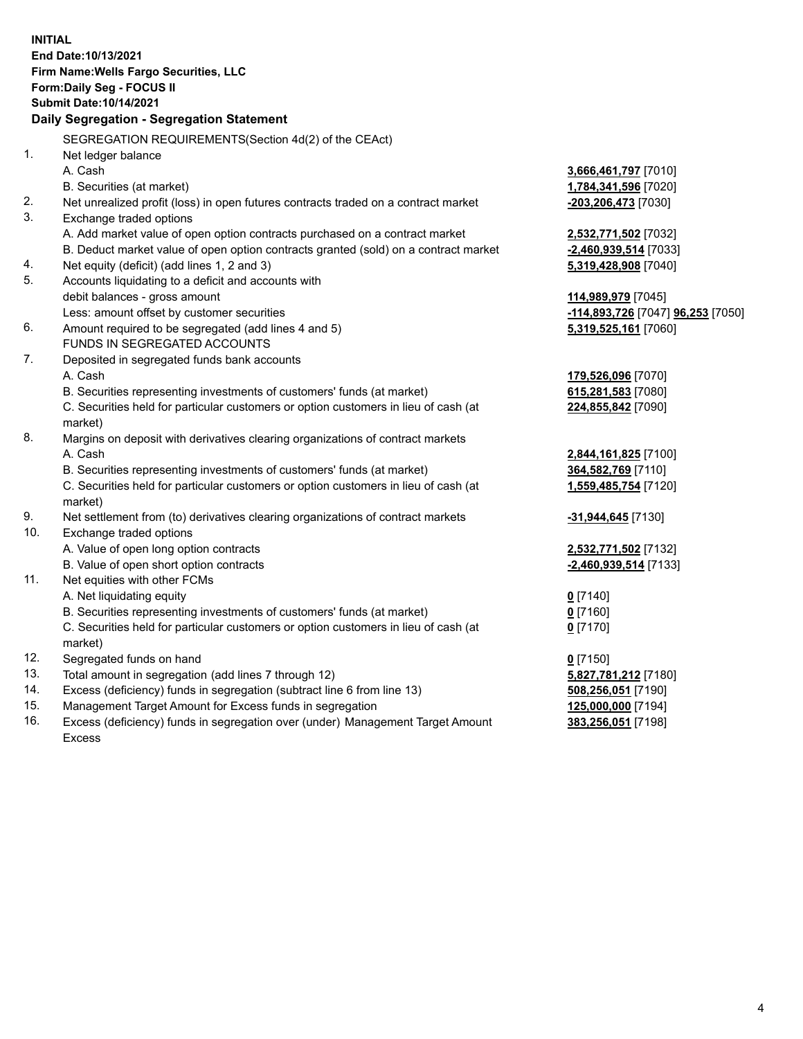**INITIAL End Date:10/13/2021 Firm Name:Wells Fargo Securities, LLC Form:Daily Seg - FOCUS II Submit Date:10/14/2021 Daily Segregation - Segregation Statement** SEGREGATION REQUIREMENTS(Section 4d(2) of the CEAct) 1. Net ledger balance A. Cash **3,666,461,797** [7010] B. Securities (at market) **1,784,341,596** [7020] 2. Net unrealized profit (loss) in open futures contracts traded on a contract market **-203,206,473** [7030] 3. Exchange traded options A. Add market value of open option contracts purchased on a contract market **2,532,771,502** [7032] B. Deduct market value of open option contracts granted (sold) on a contract market **-2,460,939,514** [7033] 4. Net equity (deficit) (add lines 1, 2 and 3) **5,319,428,908** [7040] 5. Accounts liquidating to a deficit and accounts with debit balances - gross amount **114,989,979** [7045] Less: amount offset by customer securities **-114,893,726** [7047] **96,253** [7050] 6. Amount required to be segregated (add lines 4 and 5) **5,319,525,161** [7060] FUNDS IN SEGREGATED ACCOUNTS 7. Deposited in segregated funds bank accounts A. Cash **179,526,096** [7070] B. Securities representing investments of customers' funds (at market) **615,281,583** [7080] C. Securities held for particular customers or option customers in lieu of cash (at market) **224,855,842** [7090] 8. Margins on deposit with derivatives clearing organizations of contract markets A. Cash **2,844,161,825** [7100] B. Securities representing investments of customers' funds (at market) **364,582,769** [7110] C. Securities held for particular customers or option customers in lieu of cash (at market) **1,559,485,754** [7120] 9. Net settlement from (to) derivatives clearing organizations of contract markets **-31,944,645** [7130] 10. Exchange traded options A. Value of open long option contracts **2,532,771,502** [7132] B. Value of open short option contracts **-2,460,939,514** [7133] 11. Net equities with other FCMs A. Net liquidating equity **0** [7140] B. Securities representing investments of customers' funds (at market) **0** [7160] C. Securities held for particular customers or option customers in lieu of cash (at market) **0** [7170] 12. Segregated funds on hand **0** [7150] 13. Total amount in segregation (add lines 7 through 12) **5,827,781,212** [7180]

- 14. Excess (deficiency) funds in segregation (subtract line 6 from line 13) **508,256,051** [7190]
- 15. Management Target Amount for Excess funds in segregation **125,000,000** [7194]
- 16. Excess (deficiency) funds in segregation over (under) Management Target Amount Excess

**383,256,051** [7198]